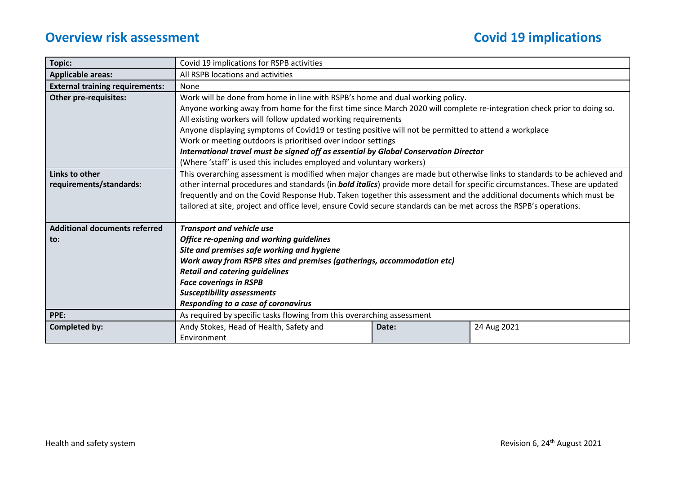| Topic:                                                  | Covid 19 implications for RSPB activities                                                                                                                                                                                                                                                                                                                                                                                                                                                                                                                                                                          |       |             |  |  |
|---------------------------------------------------------|--------------------------------------------------------------------------------------------------------------------------------------------------------------------------------------------------------------------------------------------------------------------------------------------------------------------------------------------------------------------------------------------------------------------------------------------------------------------------------------------------------------------------------------------------------------------------------------------------------------------|-------|-------------|--|--|
| <b>Applicable areas:</b>                                | All RSPB locations and activities                                                                                                                                                                                                                                                                                                                                                                                                                                                                                                                                                                                  |       |             |  |  |
| <b>External training requirements:</b>                  | None                                                                                                                                                                                                                                                                                                                                                                                                                                                                                                                                                                                                               |       |             |  |  |
| <b>Other pre-requisites:</b>                            | Work will be done from home in line with RSPB's home and dual working policy.<br>Anyone working away from home for the first time since March 2020 will complete re-integration check prior to doing so.<br>All existing workers will follow updated working requirements<br>Anyone displaying symptoms of Covid19 or testing positive will not be permitted to attend a workplace<br>Work or meeting outdoors is prioritised over indoor settings<br>International travel must be signed off as essential by Global Conservation Director<br>(Where 'staff' is used this includes employed and voluntary workers) |       |             |  |  |
| Links to other<br>requirements/standards:               | This overarching assessment is modified when major changes are made but otherwise links to standards to be achieved and<br>other internal procedures and standards (in <b>bold italics</b> ) provide more detail for specific circumstances. These are updated<br>frequently and on the Covid Response Hub. Taken together this assessment and the additional documents which must be<br>tailored at site, project and office level, ensure Covid secure standards can be met across the RSPB's operations.                                                                                                        |       |             |  |  |
| <b>Additional documents referred</b><br>$\mathbf{to}$ : | <b>Transport and vehicle use</b><br>Office re-opening and working guidelines<br>Site and premises safe working and hygiene<br>Work away from RSPB sites and premises (gatherings, accommodation etc)<br><b>Retail and catering guidelines</b><br><b>Face coverings in RSPB</b><br><b>Susceptibility assessments</b><br>Responding to a case of coronavirus                                                                                                                                                                                                                                                         |       |             |  |  |
| PPE:                                                    | As required by specific tasks flowing from this overarching assessment                                                                                                                                                                                                                                                                                                                                                                                                                                                                                                                                             |       |             |  |  |
| <b>Completed by:</b>                                    | Andy Stokes, Head of Health, Safety and<br>Environment                                                                                                                                                                                                                                                                                                                                                                                                                                                                                                                                                             | Date: | 24 Aug 2021 |  |  |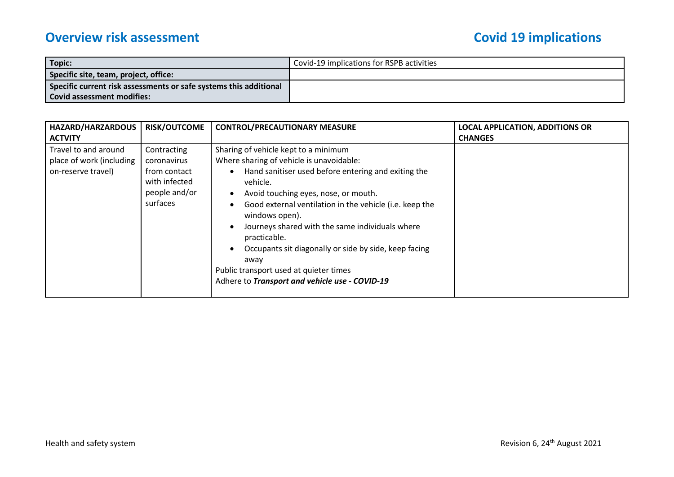| Topic:                                                            | Covid-19 implications for RSPB activities |
|-------------------------------------------------------------------|-------------------------------------------|
| Specific site, team, project, office:                             |                                           |
| Specific current risk assessments or safe systems this additional |                                           |
| l Covid assessment modifies:                                      |                                           |

| HAZARD/HARZARDOUS                                                      | <b>RISK/OUTCOME</b>                                                                      | <b>CONTROL/PRECAUTIONARY MEASURE</b>                                                                                                                                                                                                                                                                                                                                                                                                                                                                     | <b>LOCAL APPLICATION, ADDITIONS OR</b> |
|------------------------------------------------------------------------|------------------------------------------------------------------------------------------|----------------------------------------------------------------------------------------------------------------------------------------------------------------------------------------------------------------------------------------------------------------------------------------------------------------------------------------------------------------------------------------------------------------------------------------------------------------------------------------------------------|----------------------------------------|
| <b>ACTVITY</b>                                                         |                                                                                          |                                                                                                                                                                                                                                                                                                                                                                                                                                                                                                          | <b>CHANGES</b>                         |
| Travel to and around<br>place of work (including<br>on-reserve travel) | Contracting<br>coronavirus<br>from contact<br>with infected<br>people and/or<br>surfaces | Sharing of vehicle kept to a minimum<br>Where sharing of vehicle is unavoidable:<br>Hand sanitiser used before entering and exiting the<br>vehicle.<br>Avoid touching eyes, nose, or mouth.<br>Good external ventilation in the vehicle (i.e. keep the<br>windows open).<br>Journeys shared with the same individuals where<br>practicable.<br>Occupants sit diagonally or side by side, keep facing<br>away<br>Public transport used at quieter times<br>Adhere to Transport and vehicle use - COVID-19 |                                        |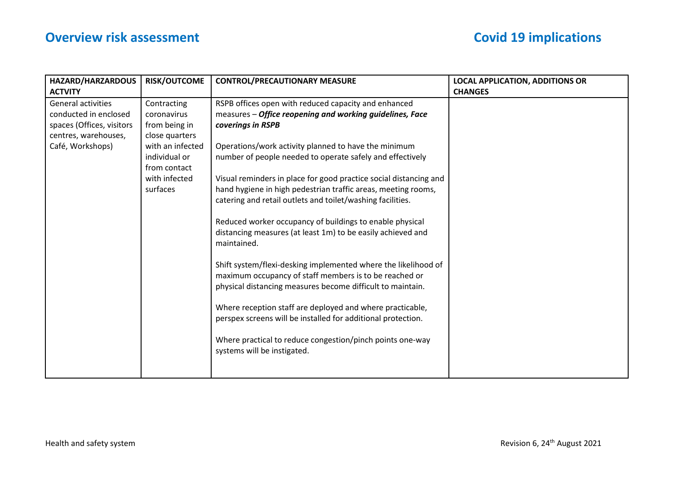| <b>HAZARD/HARZARDOUS</b>  | <b>RISK/OUTCOME</b> | <b>CONTROL/PRECAUTIONARY MEASURE</b>                                                                                     | <b>LOCAL APPLICATION, ADDITIONS OR</b> |
|---------------------------|---------------------|--------------------------------------------------------------------------------------------------------------------------|----------------------------------------|
| <b>ACTVITY</b>            |                     |                                                                                                                          | <b>CHANGES</b>                         |
| <b>General activities</b> | Contracting         | RSPB offices open with reduced capacity and enhanced                                                                     |                                        |
| conducted in enclosed     | coronavirus         | measures - Office reopening and working guidelines, Face                                                                 |                                        |
| spaces (Offices, visitors | from being in       | coverings in RSPB                                                                                                        |                                        |
| centres, warehouses,      | close quarters      |                                                                                                                          |                                        |
| Café, Workshops)          | with an infected    | Operations/work activity planned to have the minimum                                                                     |                                        |
|                           | individual or       | number of people needed to operate safely and effectively                                                                |                                        |
|                           | from contact        |                                                                                                                          |                                        |
|                           | with infected       | Visual reminders in place for good practice social distancing and                                                        |                                        |
|                           | surfaces            | hand hygiene in high pedestrian traffic areas, meeting rooms,                                                            |                                        |
|                           |                     | catering and retail outlets and toilet/washing facilities.                                                               |                                        |
|                           |                     |                                                                                                                          |                                        |
|                           |                     | Reduced worker occupancy of buildings to enable physical                                                                 |                                        |
|                           |                     | distancing measures (at least 1m) to be easily achieved and                                                              |                                        |
|                           |                     | maintained.                                                                                                              |                                        |
|                           |                     |                                                                                                                          |                                        |
|                           |                     | Shift system/flexi-desking implemented where the likelihood of<br>maximum occupancy of staff members is to be reached or |                                        |
|                           |                     | physical distancing measures become difficult to maintain.                                                               |                                        |
|                           |                     |                                                                                                                          |                                        |
|                           |                     | Where reception staff are deployed and where practicable,                                                                |                                        |
|                           |                     | perspex screens will be installed for additional protection.                                                             |                                        |
|                           |                     |                                                                                                                          |                                        |
|                           |                     | Where practical to reduce congestion/pinch points one-way                                                                |                                        |
|                           |                     | systems will be instigated.                                                                                              |                                        |
|                           |                     |                                                                                                                          |                                        |
|                           |                     |                                                                                                                          |                                        |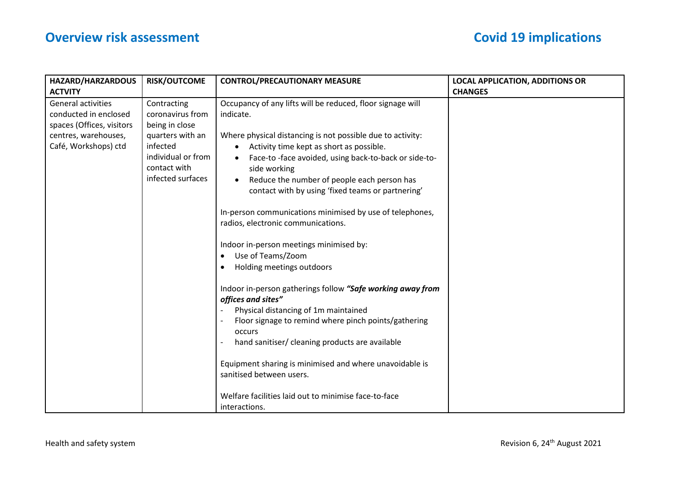| <b>RISK/OUTCOME</b>                                                                                                                          | <b>CONTROL/PRECAUTIONARY MEASURE</b>                                                                                                                                                                                                                                                                                                                                                                                                                                                                                                                                                                                                                                                                                                                                                                                                                                                                 | <b>LOCAL APPLICATION, ADDITIONS OR</b> |
|----------------------------------------------------------------------------------------------------------------------------------------------|------------------------------------------------------------------------------------------------------------------------------------------------------------------------------------------------------------------------------------------------------------------------------------------------------------------------------------------------------------------------------------------------------------------------------------------------------------------------------------------------------------------------------------------------------------------------------------------------------------------------------------------------------------------------------------------------------------------------------------------------------------------------------------------------------------------------------------------------------------------------------------------------------|----------------------------------------|
|                                                                                                                                              |                                                                                                                                                                                                                                                                                                                                                                                                                                                                                                                                                                                                                                                                                                                                                                                                                                                                                                      | <b>CHANGES</b>                         |
| Contracting<br>coronavirus from<br>being in close<br>quarters with an<br>infected<br>individual or from<br>contact with<br>infected surfaces | Occupancy of any lifts will be reduced, floor signage will<br>indicate.<br>Where physical distancing is not possible due to activity:<br>Activity time kept as short as possible.<br>Face-to-face avoided, using back-to-back or side-to-<br>side working<br>Reduce the number of people each person has<br>contact with by using 'fixed teams or partnering'<br>In-person communications minimised by use of telephones,<br>radios, electronic communications.<br>Indoor in-person meetings minimised by:<br>Use of Teams/Zoom<br>Holding meetings outdoors<br>Indoor in-person gatherings follow "Safe working away from<br>offices and sites"<br>Physical distancing of 1m maintained<br>Floor signage to remind where pinch points/gathering<br>occurs<br>hand sanitiser/ cleaning products are available<br>Equipment sharing is minimised and where unavoidable is<br>sanitised between users. |                                        |
|                                                                                                                                              |                                                                                                                                                                                                                                                                                                                                                                                                                                                                                                                                                                                                                                                                                                                                                                                                                                                                                                      |                                        |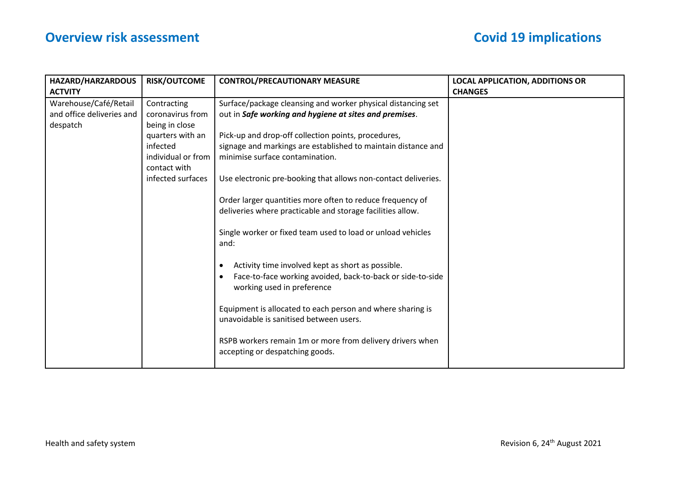| HAZARD/HARZARDOUS         | <b>RISK/OUTCOME</b> | <b>CONTROL/PRECAUTIONARY MEASURE</b>                                | <b>LOCAL APPLICATION, ADDITIONS OR</b> |
|---------------------------|---------------------|---------------------------------------------------------------------|----------------------------------------|
| <b>ACTVITY</b>            |                     |                                                                     | <b>CHANGES</b>                         |
| Warehouse/Café/Retail     | Contracting         | Surface/package cleansing and worker physical distancing set        |                                        |
| and office deliveries and | coronavirus from    | out in Safe working and hygiene at sites and premises.              |                                        |
| despatch                  | being in close      |                                                                     |                                        |
|                           | quarters with an    | Pick-up and drop-off collection points, procedures,                 |                                        |
|                           | infected            | signage and markings are established to maintain distance and       |                                        |
|                           | individual or from  | minimise surface contamination.                                     |                                        |
|                           | contact with        |                                                                     |                                        |
|                           | infected surfaces   | Use electronic pre-booking that allows non-contact deliveries.      |                                        |
|                           |                     |                                                                     |                                        |
|                           |                     | Order larger quantities more often to reduce frequency of           |                                        |
|                           |                     | deliveries where practicable and storage facilities allow.          |                                        |
|                           |                     |                                                                     |                                        |
|                           |                     | Single worker or fixed team used to load or unload vehicles<br>and: |                                        |
|                           |                     |                                                                     |                                        |
|                           |                     | Activity time involved kept as short as possible.<br>٠              |                                        |
|                           |                     | Face-to-face working avoided, back-to-back or side-to-side          |                                        |
|                           |                     | working used in preference                                          |                                        |
|                           |                     |                                                                     |                                        |
|                           |                     | Equipment is allocated to each person and where sharing is          |                                        |
|                           |                     | unavoidable is sanitised between users.                             |                                        |
|                           |                     |                                                                     |                                        |
|                           |                     | RSPB workers remain 1m or more from delivery drivers when           |                                        |
|                           |                     | accepting or despatching goods.                                     |                                        |
|                           |                     |                                                                     |                                        |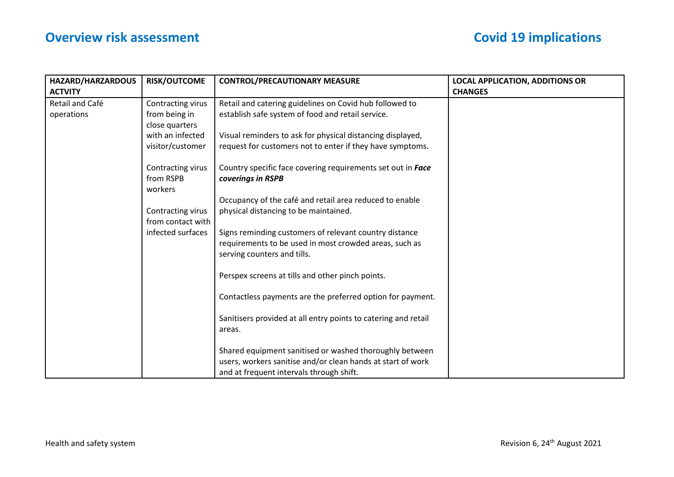| <b>HAZARD/HARZARDOUS</b> | <b>RISK/OUTCOME</b> | <b>CONTROL/PRECAUTIONARY MEASURE</b>                           | <b>LOCAL APPLICATION, ADDITIONS OR</b> |
|--------------------------|---------------------|----------------------------------------------------------------|----------------------------------------|
| <b>ACTVITY</b>           |                     |                                                                | <b>CHANGES</b>                         |
| Retail and Café          | Contracting virus   | Retail and catering guidelines on Covid hub followed to        |                                        |
| operations               | from being in       | establish safe system of food and retail service.              |                                        |
|                          | close quarters      |                                                                |                                        |
|                          | with an infected    | Visual reminders to ask for physical distancing displayed,     |                                        |
|                          | visitor/customer    | request for customers not to enter if they have symptoms.      |                                        |
|                          | Contracting virus   | Country specific face covering requirements set out in Face    |                                        |
|                          | from RSPB           | coverings in RSPB                                              |                                        |
|                          | workers             |                                                                |                                        |
|                          |                     | Occupancy of the café and retail area reduced to enable        |                                        |
|                          | Contracting virus   | physical distancing to be maintained.                          |                                        |
|                          | from contact with   |                                                                |                                        |
|                          | infected surfaces   | Signs reminding customers of relevant country distance         |                                        |
|                          |                     | requirements to be used in most crowded areas, such as         |                                        |
|                          |                     | serving counters and tills.                                    |                                        |
|                          |                     | Perspex screens at tills and other pinch points.               |                                        |
|                          |                     | Contactless payments are the preferred option for payment.     |                                        |
|                          |                     |                                                                |                                        |
|                          |                     | Sanitisers provided at all entry points to catering and retail |                                        |
|                          |                     | areas.                                                         |                                        |
|                          |                     |                                                                |                                        |
|                          |                     | Shared equipment sanitised or washed thoroughly between        |                                        |
|                          |                     | users, workers sanitise and/or clean hands at start of work    |                                        |
|                          |                     | and at frequent intervals through shift.                       |                                        |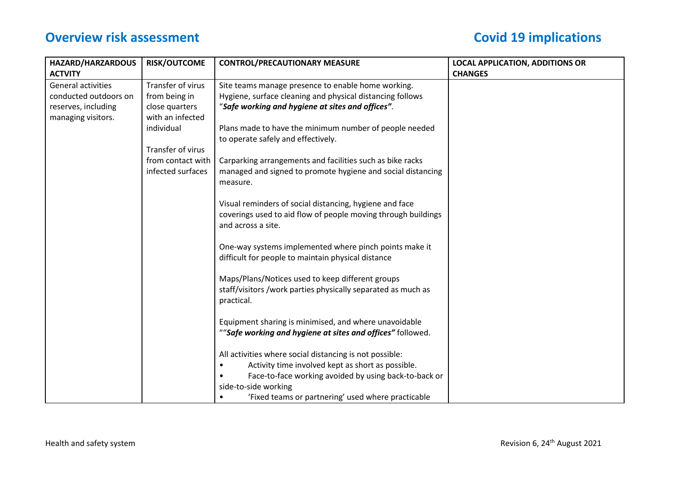| <b>HAZARD/HARZARDOUS</b> | <b>RISK/OUTCOME</b> | <b>CONTROL/PRECAUTIONARY MEASURE</b>                                                                         | <b>LOCAL APPLICATION, ADDITIONS OR</b> |
|--------------------------|---------------------|--------------------------------------------------------------------------------------------------------------|----------------------------------------|
| <b>ACTVITY</b>           |                     |                                                                                                              | <b>CHANGES</b>                         |
| General activities       | Transfer of virus   | Site teams manage presence to enable home working.                                                           |                                        |
| conducted outdoors on    | from being in       | Hygiene, surface cleaning and physical distancing follows                                                    |                                        |
| reserves, including      | close quarters      | "Safe working and hygiene at sites and offices".                                                             |                                        |
| managing visitors.       | with an infected    |                                                                                                              |                                        |
|                          | individual          | Plans made to have the minimum number of people needed                                                       |                                        |
|                          |                     | to operate safely and effectively.                                                                           |                                        |
|                          | Transfer of virus   |                                                                                                              |                                        |
|                          | from contact with   | Carparking arrangements and facilities such as bike racks                                                    |                                        |
|                          | infected surfaces   | managed and signed to promote hygiene and social distancing                                                  |                                        |
|                          |                     | measure.                                                                                                     |                                        |
|                          |                     |                                                                                                              |                                        |
|                          |                     | Visual reminders of social distancing, hygiene and face                                                      |                                        |
|                          |                     | coverings used to aid flow of people moving through buildings                                                |                                        |
|                          |                     | and across a site.                                                                                           |                                        |
|                          |                     |                                                                                                              |                                        |
|                          |                     | One-way systems implemented where pinch points make it<br>difficult for people to maintain physical distance |                                        |
|                          |                     |                                                                                                              |                                        |
|                          |                     | Maps/Plans/Notices used to keep different groups                                                             |                                        |
|                          |                     | staff/visitors /work parties physically separated as much as                                                 |                                        |
|                          |                     | practical.                                                                                                   |                                        |
|                          |                     |                                                                                                              |                                        |
|                          |                     | Equipment sharing is minimised, and where unavoidable                                                        |                                        |
|                          |                     | ""Safe working and hygiene at sites and offices" followed.                                                   |                                        |
|                          |                     |                                                                                                              |                                        |
|                          |                     | All activities where social distancing is not possible:                                                      |                                        |
|                          |                     | Activity time involved kept as short as possible.                                                            |                                        |
|                          |                     | Face-to-face working avoided by using back-to-back or                                                        |                                        |
|                          |                     | side-to-side working                                                                                         |                                        |
|                          |                     | 'Fixed teams or partnering' used where practicable                                                           |                                        |